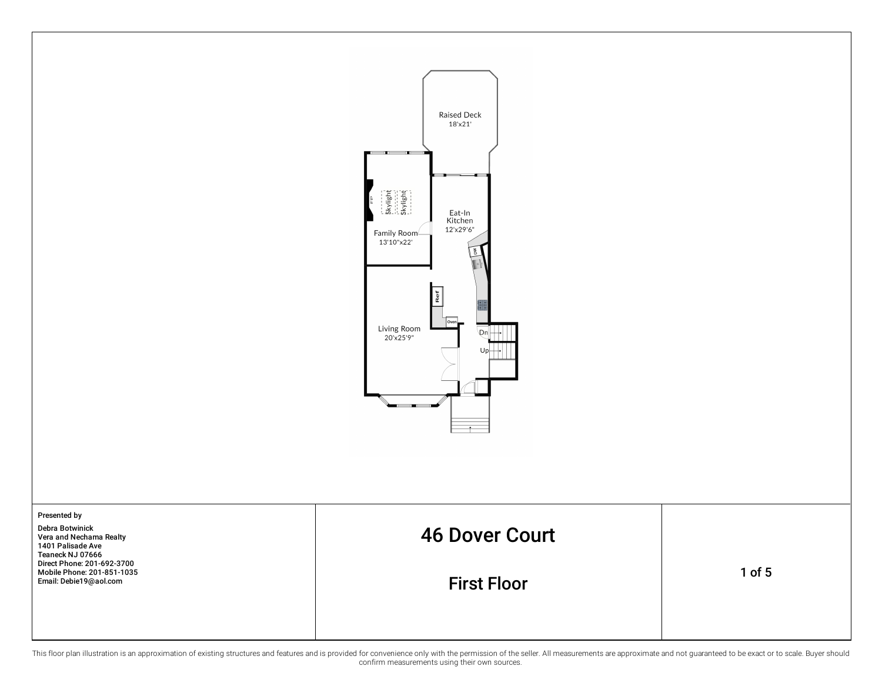

This floor plan illustration is an approximation of existing structures and features and is provided for convenience only with the permission of the seller. All measurements are approximate and not guaranteed to be exact o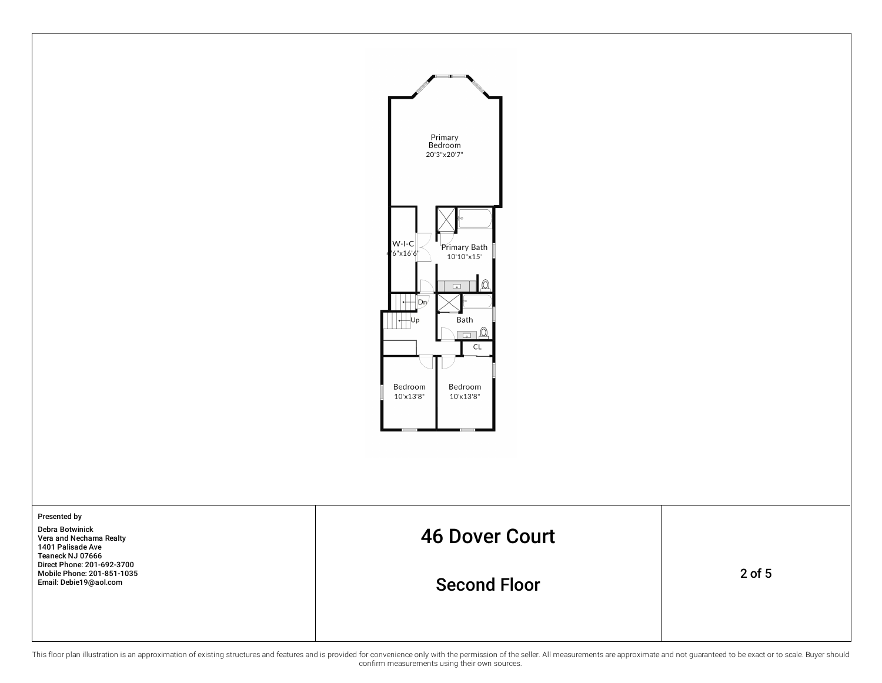



This floor plan illustration is an approximation of existing structures and features and is provided for convenience only with the permission of the seller. All measurements are approximate and not guaranteed to be exact o confirm measurements using their own sources.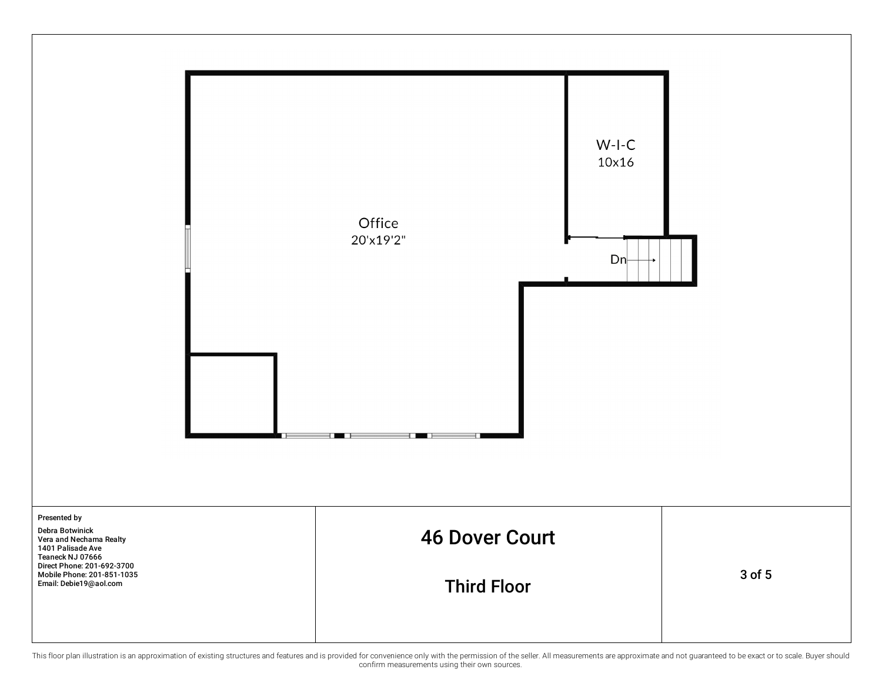

This floor plan illustration is an approximation of existing structures and features and is provided for convenience only with the permission of the seller. All measurements are approximate and not guaranteed to be exact o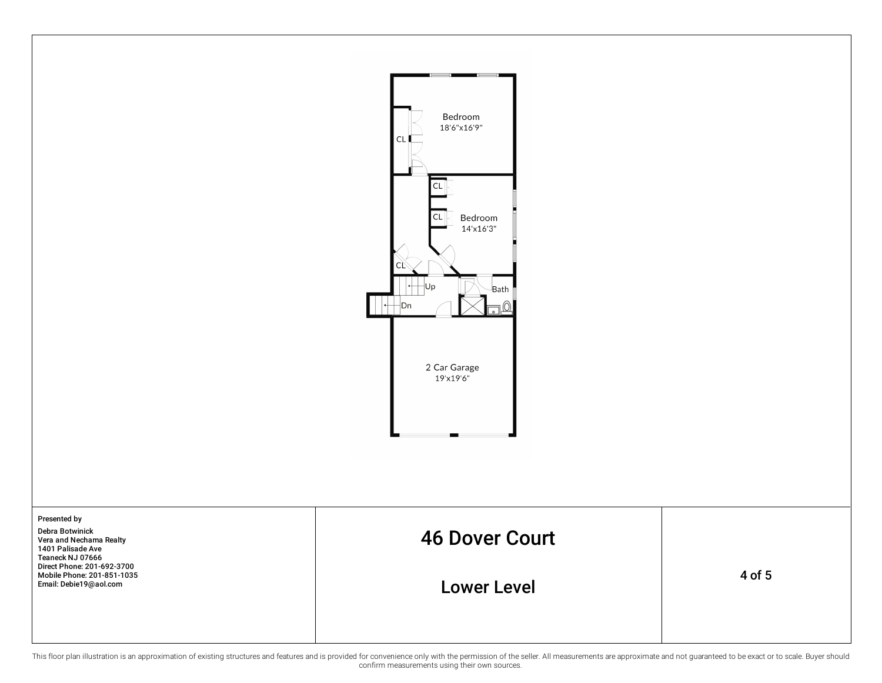

This floor plan illustration is an approximation of existing structures and features and is provided for convenience only with the permission of the seller. All measurements are approximate and not guaranteed to be exact o